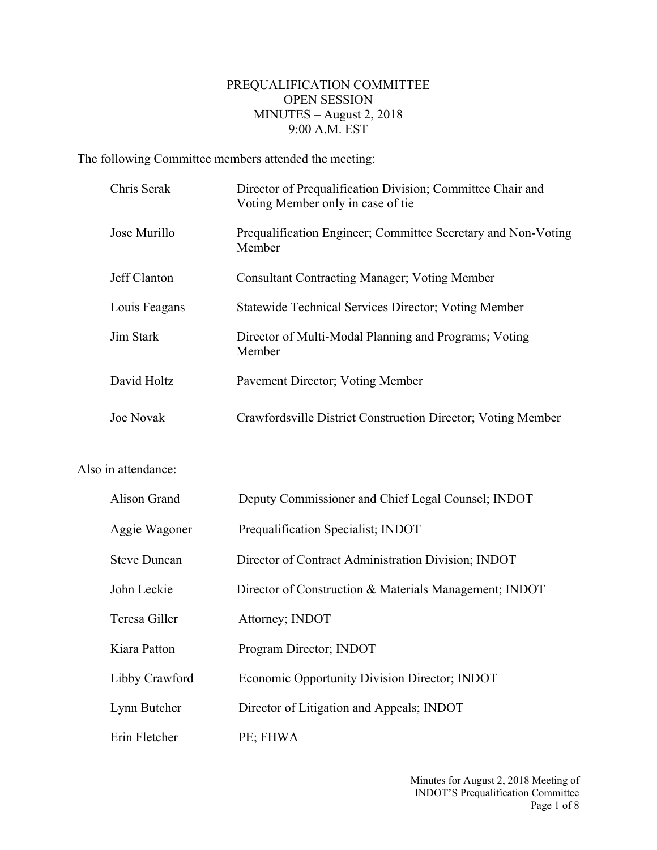## PREQUALIFICATION COMMITTEE OPEN SESSION MINUTES – August 2, 2018 9:00 A.M. EST

The following Committee members attended the meeting:

| Chris Serak   | Director of Prequalification Division; Committee Chair and<br>Voting Member only in case of tie |
|---------------|-------------------------------------------------------------------------------------------------|
| Jose Murillo  | Prequalification Engineer; Committee Secretary and Non-Voting<br>Member                         |
| Jeff Clanton  | <b>Consultant Contracting Manager; Voting Member</b>                                            |
| Louis Feagans | <b>Statewide Technical Services Director; Voting Member</b>                                     |
| Jim Stark     | Director of Multi-Modal Planning and Programs; Voting<br>Member                                 |
| David Holtz   | Pavement Director; Voting Member                                                                |
| Joe Novak     | Crawfordsville District Construction Director; Voting Member                                    |

## Also in attendance:

| Alison Grand        | Deputy Commissioner and Chief Legal Counsel; INDOT     |
|---------------------|--------------------------------------------------------|
| Aggie Wagoner       | Prequalification Specialist; INDOT                     |
| <b>Steve Duncan</b> | Director of Contract Administration Division; INDOT    |
| John Leckie         | Director of Construction & Materials Management; INDOT |
| Teresa Giller       | Attorney; INDOT                                        |
| Kiara Patton        | Program Director; INDOT                                |
| Libby Crawford      | <b>Economic Opportunity Division Director; INDOT</b>   |
| Lynn Butcher        | Director of Litigation and Appeals; INDOT              |
| Erin Fletcher       | PE; FHWA                                               |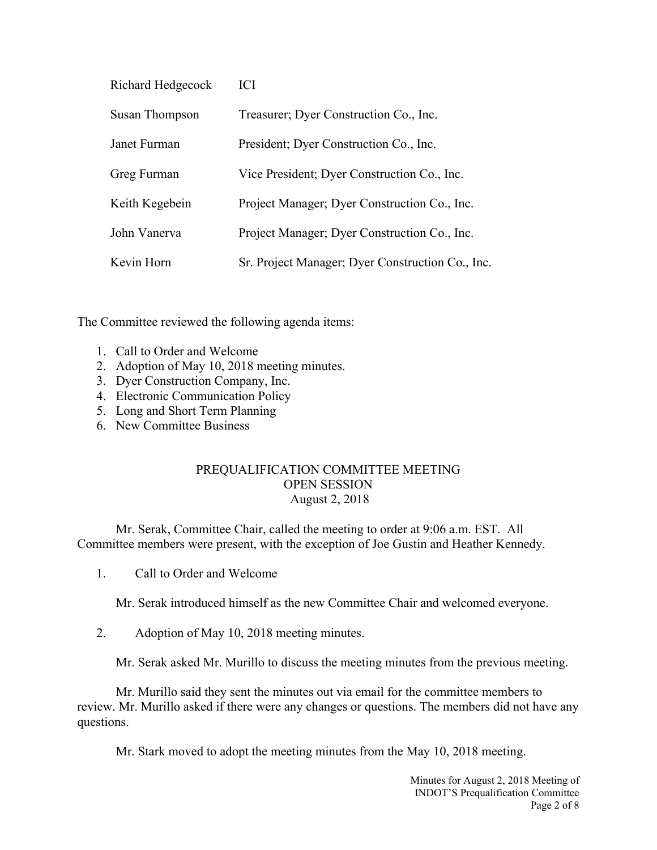| Richard Hedgecock | <b>ICI</b>                                       |
|-------------------|--------------------------------------------------|
| Susan Thompson    | Treasurer; Dyer Construction Co., Inc.           |
| Janet Furman      | President; Dyer Construction Co., Inc.           |
| Greg Furman       | Vice President; Dyer Construction Co., Inc.      |
| Keith Kegebein    | Project Manager; Dyer Construction Co., Inc.     |
| John Vanerva      | Project Manager; Dyer Construction Co., Inc.     |
| Kevin Horn        | Sr. Project Manager; Dyer Construction Co., Inc. |

The Committee reviewed the following agenda items:

- 1. Call to Order and Welcome
- 2. Adoption of May 10, 2018 meeting minutes.
- 3. Dyer Construction Company, Inc.
- 4. Electronic Communication Policy
- 5. Long and Short Term Planning
- 6. New Committee Business

## PREQUALIFICATION COMMITTEE MEETING OPEN SESSION August 2, 2018

Mr. Serak, Committee Chair, called the meeting to order at 9:06 a.m. EST. All Committee members were present, with the exception of Joe Gustin and Heather Kennedy.

1. Call to Order and Welcome

Mr. Serak introduced himself as the new Committee Chair and welcomed everyone.

2. Adoption of May 10, 2018 meeting minutes.

Mr. Serak asked Mr. Murillo to discuss the meeting minutes from the previous meeting.

Mr. Murillo said they sent the minutes out via email for the committee members to review. Mr. Murillo asked if there were any changes or questions. The members did not have any questions.

Mr. Stark moved to adopt the meeting minutes from the May 10, 2018 meeting.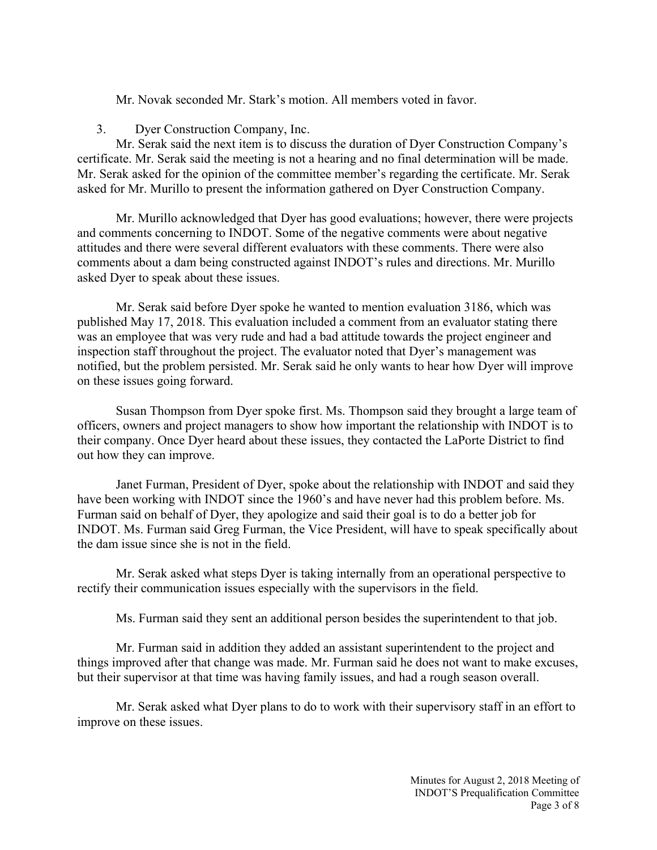Mr. Novak seconded Mr. Stark's motion. All members voted in favor.

3. Dyer Construction Company, Inc.

Mr. Serak said the next item is to discuss the duration of Dyer Construction Company's certificate. Mr. Serak said the meeting is not a hearing and no final determination will be made. Mr. Serak asked for the opinion of the committee member's regarding the certificate. Mr. Serak asked for Mr. Murillo to present the information gathered on Dyer Construction Company.

Mr. Murillo acknowledged that Dyer has good evaluations; however, there were projects and comments concerning to INDOT. Some of the negative comments were about negative attitudes and there were several different evaluators with these comments. There were also comments about a dam being constructed against INDOT's rules and directions. Mr. Murillo asked Dyer to speak about these issues.

Mr. Serak said before Dyer spoke he wanted to mention evaluation 3186, which was published May 17, 2018. This evaluation included a comment from an evaluator stating there was an employee that was very rude and had a bad attitude towards the project engineer and inspection staff throughout the project. The evaluator noted that Dyer's management was notified, but the problem persisted. Mr. Serak said he only wants to hear how Dyer will improve on these issues going forward.

Susan Thompson from Dyer spoke first. Ms. Thompson said they brought a large team of officers, owners and project managers to show how important the relationship with INDOT is to their company. Once Dyer heard about these issues, they contacted the LaPorte District to find out how they can improve.

Janet Furman, President of Dyer, spoke about the relationship with INDOT and said they have been working with INDOT since the 1960's and have never had this problem before. Ms. Furman said on behalf of Dyer, they apologize and said their goal is to do a better job for INDOT. Ms. Furman said Greg Furman, the Vice President, will have to speak specifically about the dam issue since she is not in the field.

Mr. Serak asked what steps Dyer is taking internally from an operational perspective to rectify their communication issues especially with the supervisors in the field.

Ms. Furman said they sent an additional person besides the superintendent to that job.

Mr. Furman said in addition they added an assistant superintendent to the project and things improved after that change was made. Mr. Furman said he does not want to make excuses, but their supervisor at that time was having family issues, and had a rough season overall.

Mr. Serak asked what Dyer plans to do to work with their supervisory staff in an effort to improve on these issues.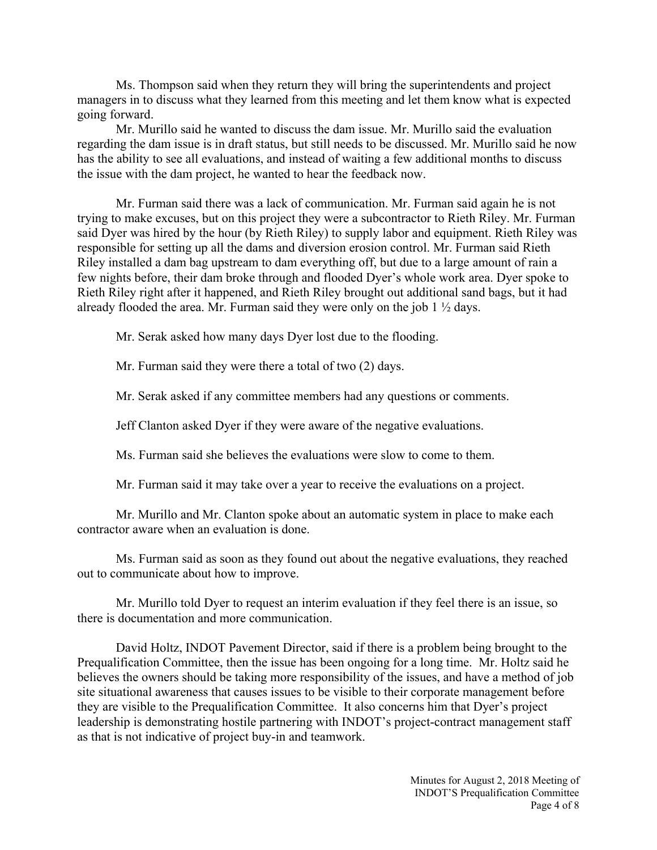Ms. Thompson said when they return they will bring the superintendents and project managers in to discuss what they learned from this meeting and let them know what is expected going forward.

Mr. Murillo said he wanted to discuss the dam issue. Mr. Murillo said the evaluation regarding the dam issue is in draft status, but still needs to be discussed. Mr. Murillo said he now has the ability to see all evaluations, and instead of waiting a few additional months to discuss the issue with the dam project, he wanted to hear the feedback now.

Mr. Furman said there was a lack of communication. Mr. Furman said again he is not trying to make excuses, but on this project they were a subcontractor to Rieth Riley. Mr. Furman said Dyer was hired by the hour (by Rieth Riley) to supply labor and equipment. Rieth Riley was responsible for setting up all the dams and diversion erosion control. Mr. Furman said Rieth Riley installed a dam bag upstream to dam everything off, but due to a large amount of rain a few nights before, their dam broke through and flooded Dyer's whole work area. Dyer spoke to Rieth Riley right after it happened, and Rieth Riley brought out additional sand bags, but it had already flooded the area. Mr. Furman said they were only on the job  $1 \frac{1}{2}$  days.

Mr. Serak asked how many days Dyer lost due to the flooding.

Mr. Furman said they were there a total of two (2) days.

Mr. Serak asked if any committee members had any questions or comments.

Jeff Clanton asked Dyer if they were aware of the negative evaluations.

Ms. Furman said she believes the evaluations were slow to come to them.

Mr. Furman said it may take over a year to receive the evaluations on a project.

Mr. Murillo and Mr. Clanton spoke about an automatic system in place to make each contractor aware when an evaluation is done.

Ms. Furman said as soon as they found out about the negative evaluations, they reached out to communicate about how to improve.

Mr. Murillo told Dyer to request an interim evaluation if they feel there is an issue, so there is documentation and more communication.

David Holtz, INDOT Pavement Director, said if there is a problem being brought to the Prequalification Committee, then the issue has been ongoing for a long time. Mr. Holtz said he believes the owners should be taking more responsibility of the issues, and have a method of job site situational awareness that causes issues to be visible to their corporate management before they are visible to the Prequalification Committee. It also concerns him that Dyer's project leadership is demonstrating hostile partnering with INDOT's project-contract management staff as that is not indicative of project buy-in and teamwork.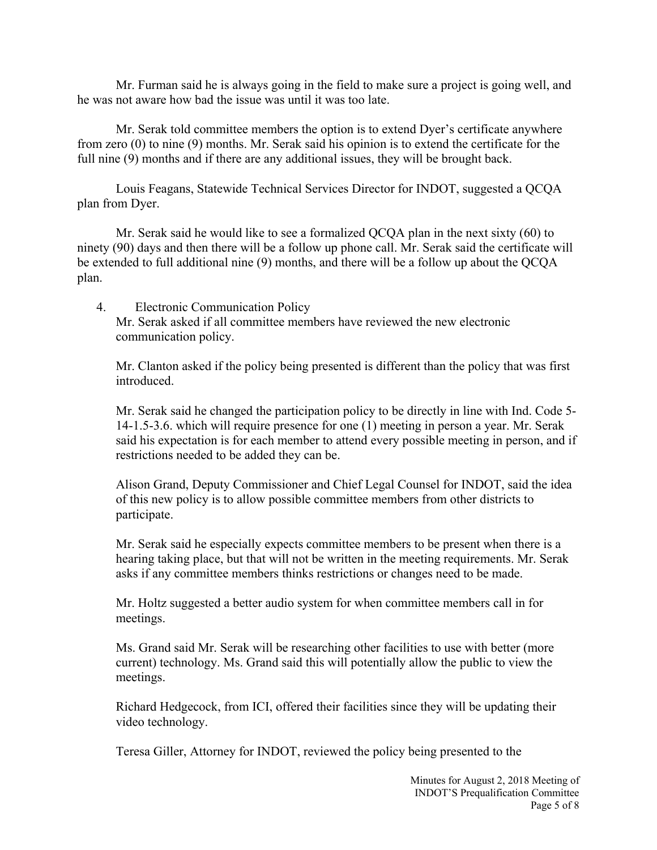Mr. Furman said he is always going in the field to make sure a project is going well, and he was not aware how bad the issue was until it was too late.

Mr. Serak told committee members the option is to extend Dyer's certificate anywhere from zero (0) to nine (9) months. Mr. Serak said his opinion is to extend the certificate for the full nine (9) months and if there are any additional issues, they will be brought back.

Louis Feagans, Statewide Technical Services Director for INDOT, suggested a QCQA plan from Dyer.

Mr. Serak said he would like to see a formalized QCQA plan in the next sixty (60) to ninety (90) days and then there will be a follow up phone call. Mr. Serak said the certificate will be extended to full additional nine (9) months, and there will be a follow up about the QCQA plan.

4. Electronic Communication Policy Mr. Serak asked if all committee members have reviewed the new electronic communication policy.

Mr. Clanton asked if the policy being presented is different than the policy that was first introduced.

Mr. Serak said he changed the participation policy to be directly in line with Ind. Code 5- 14-1.5-3.6. which will require presence for one (1) meeting in person a year. Mr. Serak said his expectation is for each member to attend every possible meeting in person, and if restrictions needed to be added they can be.

Alison Grand, Deputy Commissioner and Chief Legal Counsel for INDOT, said the idea of this new policy is to allow possible committee members from other districts to participate.

Mr. Serak said he especially expects committee members to be present when there is a hearing taking place, but that will not be written in the meeting requirements. Mr. Serak asks if any committee members thinks restrictions or changes need to be made.

Mr. Holtz suggested a better audio system for when committee members call in for meetings.

Ms. Grand said Mr. Serak will be researching other facilities to use with better (more current) technology. Ms. Grand said this will potentially allow the public to view the meetings.

Richard Hedgecock, from ICI, offered their facilities since they will be updating their video technology.

Teresa Giller, Attorney for INDOT, reviewed the policy being presented to the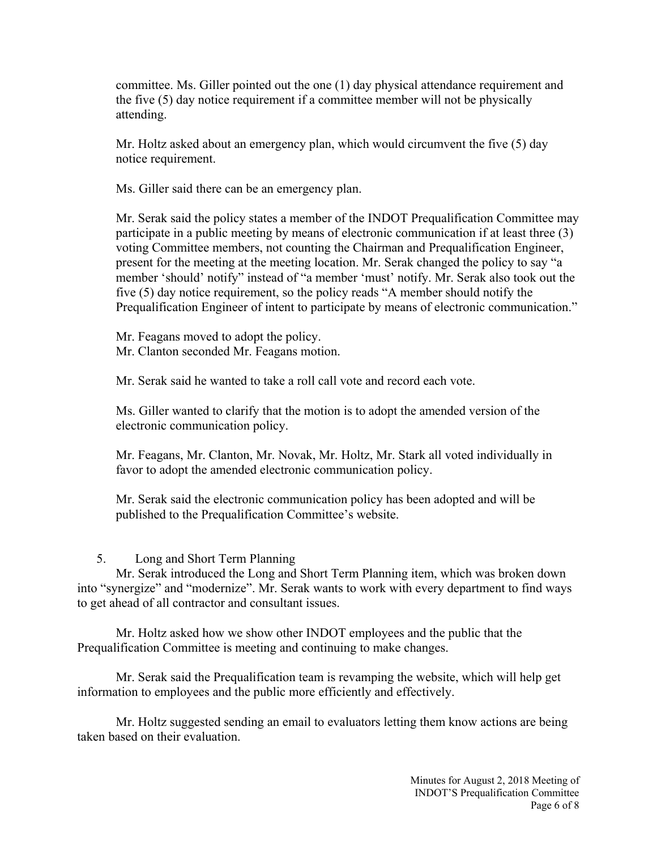committee. Ms. Giller pointed out the one (1) day physical attendance requirement and the five (5) day notice requirement if a committee member will not be physically attending.

Mr. Holtz asked about an emergency plan, which would circumvent the five (5) day notice requirement.

Ms. Giller said there can be an emergency plan.

Mr. Serak said the policy states a member of the INDOT Prequalification Committee may participate in a public meeting by means of electronic communication if at least three (3) voting Committee members, not counting the Chairman and Prequalification Engineer, present for the meeting at the meeting location. Mr. Serak changed the policy to say "a member 'should' notify" instead of "a member 'must' notify. Mr. Serak also took out the five (5) day notice requirement, so the policy reads "A member should notify the Prequalification Engineer of intent to participate by means of electronic communication."

Mr. Feagans moved to adopt the policy. Mr. Clanton seconded Mr. Feagans motion.

Mr. Serak said he wanted to take a roll call vote and record each vote.

Ms. Giller wanted to clarify that the motion is to adopt the amended version of the electronic communication policy.

Mr. Feagans, Mr. Clanton, Mr. Novak, Mr. Holtz, Mr. Stark all voted individually in favor to adopt the amended electronic communication policy.

Mr. Serak said the electronic communication policy has been adopted and will be published to the Prequalification Committee's website.

## 5. Long and Short Term Planning

Mr. Serak introduced the Long and Short Term Planning item, which was broken down into "synergize" and "modernize". Mr. Serak wants to work with every department to find ways to get ahead of all contractor and consultant issues.

Mr. Holtz asked how we show other INDOT employees and the public that the Prequalification Committee is meeting and continuing to make changes.

Mr. Serak said the Prequalification team is revamping the website, which will help get information to employees and the public more efficiently and effectively.

Mr. Holtz suggested sending an email to evaluators letting them know actions are being taken based on their evaluation.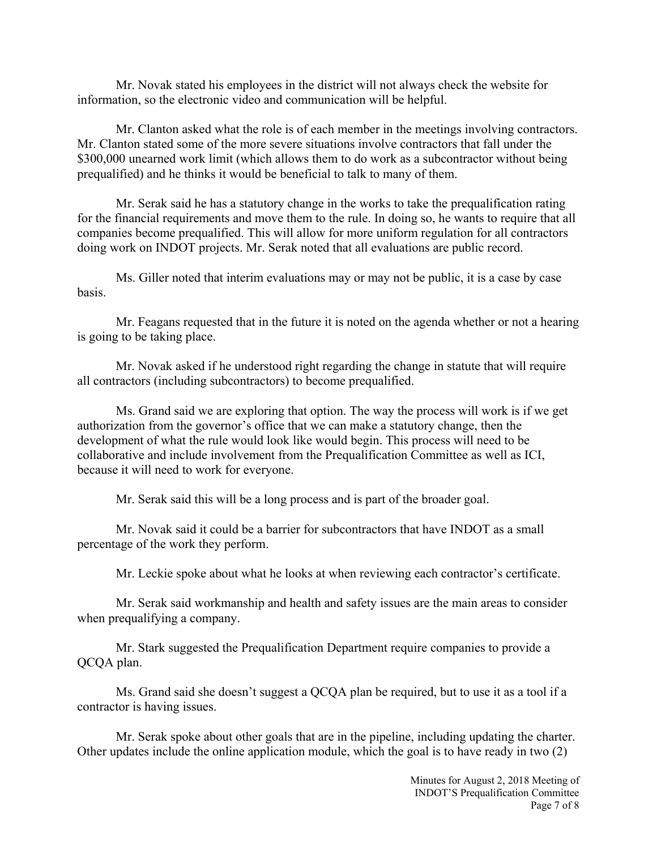Mr. Novak stated his employees in the district will not always check the website for information, so the electronic video and communication will be helpful.

Mr. Clanton asked what the role is of each member in the meetings involving contractors. Mr. Clanton stated some of the more severe situations involve contractors that fall under the \$300,000 unearned work limit (which allows them to do work as a subcontractor without being prequalified) and he thinks it would be beneficial to talk to many of them.

Mr. Serak said he has a statutory change in the works to take the prequalification rating for the financial requirements and move them to the rule. In doing so, he wants to require that all companies become prequalified. This will allow for more uniform regulation for all contractors doing work on INDOT projects. Mr. Serak noted that all evaluations are public record.

Ms. Giller noted that interim evaluations may or may not be public, it is a case by case basis.

Mr. Feagans requested that in the future it is noted on the agenda whether or not a hearing is going to be taking place.

Mr. Novak asked if he understood right regarding the change in statute that will require all contractors (including subcontractors) to become prequalified.

Ms. Grand said we are exploring that option. The way the process will work is if we get authorization from the governor's office that we can make a statutory change, then the development of what the rule would look like would begin. This process will need to be collaborative and include involvement from the Prequalification Committee as well as ICI, because it will need to work for everyone.

Mr. Serak said this will be a long process and is part of the broader goal.

Mr. Novak said it could be a barrier for subcontractors that have INDOT as a small percentage of the work they perform.

Mr. Leckie spoke about what he looks at when reviewing each contractor's certificate.

Mr. Serak said workmanship and health and safety issues are the main areas to consider when prequalifying a company.

Mr. Stark suggested the Prequalification Department require companies to provide a QCQA plan.

Ms. Grand said she doesn't suggest a QCQA plan be required, but to use it as a tool if a contractor is having issues.

Mr. Serak spoke about other goals that are in the pipeline, including updating the charter. Other updates include the online application module, which the goal is to have ready in two (2)